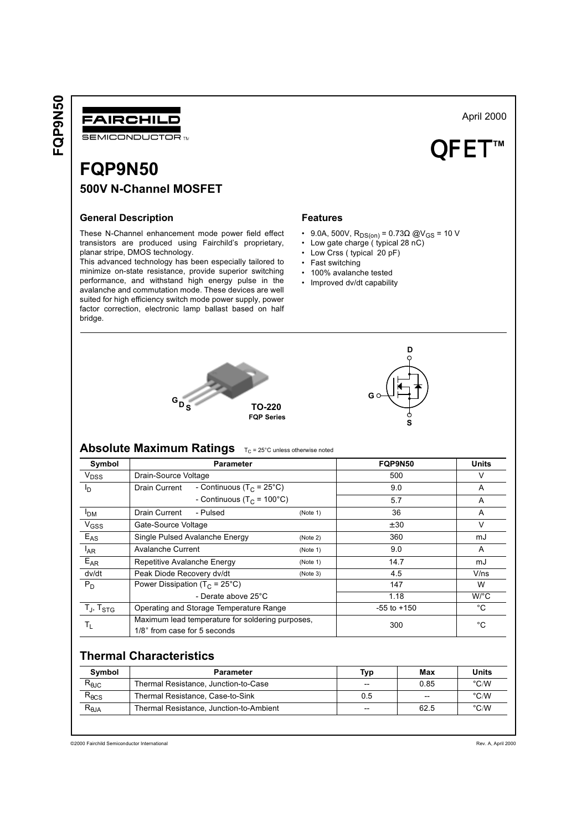FQP9N50



**FQP9N50** 500V N-Channel MOSFET

# **General Description**

These N-Channel enhancement mode power field effect transistors are produced using Fairchild's proprietary, planar stripe, DMOS technology.

This advanced technology has been especially tailored to minimize on-state resistance, provide superior switching performance, and withstand high energy pulse in the avalanche and commutation mode. These devices are well suited for high efficiency switch mode power supply, power factor correction, electronic lamp ballast based on half bridge.

#### **Features**

- 9.0A, 500V,  $R_{DS(on)} = 0.73\Omega$  @V<sub>GS</sub> = 10 V
- Low gate charge (typical 28 nC)
- Low Crss (typical 20 pF)
- Fast switching
- 100% avalanche tested
- Improved dv/dt capability





# Absolute Maximum Ratings TC = 25°C unless otherwise noted

| Symbol            | <b>Parameter</b>                                                                 |          | FQP9N50         | <b>Units</b>         |
|-------------------|----------------------------------------------------------------------------------|----------|-----------------|----------------------|
| V <sub>DSS</sub>  | Drain-Source Voltage                                                             |          | 500             | V                    |
| םי                | - Continuous (T <sub>C</sub> = 25°C)<br>Drain Current                            |          | 9.0             | A                    |
|                   | - Continuous (T <sub>C</sub> = 100°C)                                            |          | 5.7             | A                    |
| <b>PDM</b>        | Drain Current<br>- Pulsed                                                        | (Note 1) | 36              | A                    |
| V <sub>GSS</sub>  | Gate-Source Voltage                                                              |          | ± 30            | $\vee$               |
| $E_{AS}$          | Single Pulsed Avalanche Energy                                                   | (Note 2) | 360             | mJ                   |
| $I_{AR}$          | Avalanche Current                                                                | (Note 1) | 9.0             | A                    |
| $E_{AR}$          | Repetitive Avalanche Energy                                                      | (Note 1) | 14.7            | mJ                   |
| dv/dt             | Peak Diode Recovery dv/dt                                                        | (Note 3) | 4.5             | V/ns                 |
| $P_D$             | Power Dissipation ( $T_C = 25^{\circ}C$ )                                        |          | 147             | W                    |
|                   | - Derate above 25°C                                                              |          | 1.18            | $W$ <sup>o</sup> $C$ |
| $T_J$ , $T_{STG}$ | Operating and Storage Temperature Range                                          |          | $-55$ to $+150$ | °C                   |
| Τı.               | Maximum lead temperature for soldering purposes,<br>1/8" from case for 5 seconds |          | 300             | °C                   |

# **Thermal Characteristics**

| Symbol          | Parameter                               | Typ   | Max  | Units         |
|-----------------|-----------------------------------------|-------|------|---------------|
| $R_{\theta$ JC  | Thermal Resistance, Junction-to-Case    | --    | 0.85 | $\degree$ C/W |
| $R_{\theta CS}$ | Thermal Resistance, Case-to-Sink        | 0.5   | $-$  | $\degree$ C/W |
| $R_{\theta$ JA  | Thermal Resistance, Junction-to-Ambient | $- -$ | 62.5 | $\degree$ C/W |
|                 |                                         |       |      |               |

@2000 Fairchild Semiconductor International

April 2000

1TM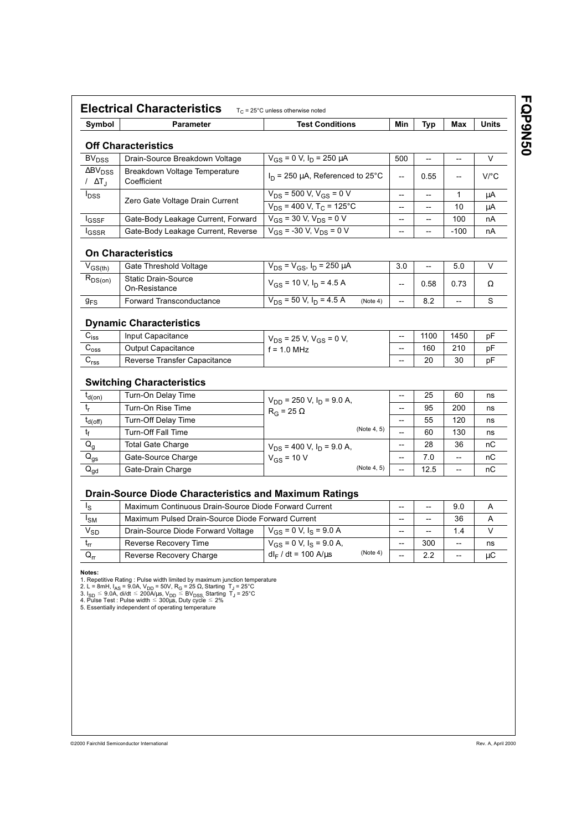| Symbol                              | <b>Parameter</b>                                                                                                                                                | <b>Test Conditions</b>                              | Min                      | Typ                      | Max                      | Units                |
|-------------------------------------|-----------------------------------------------------------------------------------------------------------------------------------------------------------------|-----------------------------------------------------|--------------------------|--------------------------|--------------------------|----------------------|
|                                     | <b>Off Characteristics</b>                                                                                                                                      |                                                     |                          |                          |                          |                      |
| <b>BV<sub>DSS</sub></b>             | Drain-Source Breakdown Voltage                                                                                                                                  | $V_{GS}$ = 0 V, $I_D$ = 250 $\mu$ A                 | 500                      | --                       | --                       | $\vee$               |
| $\Delta BV_{DSS}$<br>/ $\Delta T_J$ | Breakdown Voltage Temperature<br>Coefficient                                                                                                                    | $I_D$ = 250 µA, Referenced to 25°C                  | $\overline{\phantom{a}}$ | 0.55                     | --                       | $V$ <sup>o</sup> $C$ |
| $I_{DSS}$                           |                                                                                                                                                                 | $\overline{V_{DS}}$ = 500 V, V <sub>GS</sub> = 0 V  | --                       | --                       | 1                        | μA                   |
|                                     | Zero Gate Voltage Drain Current                                                                                                                                 | $V_{DS}$ = 400 V, T <sub>C</sub> = 125°C            | --                       | --                       | 10                       | μA                   |
| <b>I</b> GSSF                       | Gate-Body Leakage Current, Forward                                                                                                                              | $V_{GS}$ = 30 V, $V_{DS}$ = 0 V                     | --                       | --                       | 100                      | nA                   |
| <b>I</b> GSSR                       | Gate-Body Leakage Current, Reverse                                                                                                                              | $V_{GS}$ = -30 V, V <sub>DS</sub> = 0 V             | --                       | $\qquad \qquad -$        | $-100$                   | nA                   |
|                                     | <b>On Characteristics</b>                                                                                                                                       |                                                     |                          |                          |                          |                      |
| $V_{GS(th)}$                        | Gate Threshold Voltage                                                                                                                                          | $V_{DS} = V_{GS}$ , $I_D = 250 \mu A$               | 3.0                      | $\overline{\phantom{a}}$ | 5.0                      | V                    |
| $R_{DS(on)}$                        | <b>Static Drain-Source</b><br>On-Resistance                                                                                                                     | $V_{GS}$ = 10 V, $I_D$ = 4.5 A                      | $\overline{\phantom{a}}$ | 0.58                     | 0.73                     | Ω                    |
| 9 <sub>FS</sub>                     | <b>Forward Transconductance</b>                                                                                                                                 | $V_{DS}$ = 50 V, I <sub>D</sub> = 4.5 A<br>(Note 4) | $\overline{\phantom{a}}$ | 8.2                      | $\overline{\phantom{a}}$ | S                    |
|                                     | <b>Dynamic Characteristics</b>                                                                                                                                  |                                                     |                          |                          |                          |                      |
| $C_{iss}$                           | Input Capacitance                                                                                                                                               | $V_{DS}$ = 25 V, $V_{GS}$ = 0 V,                    | --                       | 1100                     | 1450                     | pF                   |
| $\mathsf{C}_{\text{oss}}$           | <b>Output Capacitance</b>                                                                                                                                       | $f = 1.0$ MHz                                       | --                       | 160                      | 210                      | pF                   |
| C <sub>rss</sub>                    | Reverse Transfer Capacitance                                                                                                                                    |                                                     |                          | 20                       | 30                       | pF                   |
|                                     | <b>Switching Characteristics</b>                                                                                                                                |                                                     |                          |                          |                          |                      |
| $t_{d(on)}$                         | Turn-On Delay Time                                                                                                                                              | $V_{DD}$ = 250 V, $I_D$ = 9.0 A,                    | --                       | 25                       | 60                       | ns                   |
| $t_r$                               | Turn-On Rise Time                                                                                                                                               | $R_G$ = 25 $\Omega$                                 | --                       | 95                       | 200                      | ns                   |
| $t_{d(off)}$                        | Turn-Off Delay Time                                                                                                                                             |                                                     | --                       | 55                       | 120                      | ns                   |
| $\mathfrak{t}_{\mathsf{f}}$         | <b>Turn-Off Fall Time</b>                                                                                                                                       | (Note 4, 5)                                         | --                       | 60                       | 130                      | ns                   |
| $Q_g$                               | <b>Total Gate Charge</b>                                                                                                                                        | $V_{DS}$ = 400 V, $I_D$ = 9.0 A,                    | --                       | 28                       | 36                       | nC                   |
| $Q_{gs}$                            | Gate-Source Charge                                                                                                                                              | $V_{GS}$ = 10 V                                     | --                       | 7.0                      | --                       | пC                   |
| $\mathsf{Q}_{\mathsf{gd}}$          | Gate-Drain Charge                                                                                                                                               | (Note 4, 5)                                         | --                       | 12.5                     | --                       | nC                   |
|                                     |                                                                                                                                                                 |                                                     |                          |                          |                          |                      |
| l <sub>S</sub>                      | <b>Drain-Source Diode Characteristics and Maximum Ratings</b><br>Maximum Continuous Drain-Source Diode Forward Current<br>9.0<br>--<br>$\overline{\phantom{a}}$ |                                                     |                          | A                        |                          |                      |
| ادەرا                               | Maximum Pulsed Drain-Source Diode Forward Current                                                                                                               |                                                     |                          |                          | 36                       | Δ                    |

| Is.             | Maximum Continuous Drain-Source Diode Forward Current |                                            |       | --    | 9.0                      |    |
|-----------------|-------------------------------------------------------|--------------------------------------------|-------|-------|--------------------------|----|
| <sup>I</sup> SM | Maximum Pulsed Drain-Source Diode Forward Current     |                                            |       | --    | 36                       |    |
| V <sub>SD</sub> | Drain-Source Diode Forward Voltage                    | $V_{GS}$ = 0 V, $I_S$ = 9.0 A              | $- -$ | $- -$ | 1.4                      |    |
| $t_{rr}$        | Reverse Recovery Time                                 | $V_{GS}$ = 0 V, $I_S$ = 9.0 A,             | $- -$ | 300   | $- -$                    | ns |
| $Q_{rr}$        | Reverse Recovery Charge                               | (Note 4)<br>$d_{\text{F}}$ / dt = 100 A/us | $- -$ | っっ    | $\overline{\phantom{m}}$ | иC |

Notes:

**Notes:**<br>
1. Repetitive Rating : Pulse width limited by maximum junction temperature<br>
2. L = 8mH,  $I_{AS}$  = 9.0A,  $V_{DD}$  = 50V, R<sub>G</sub> = 25 Ω, Starting T<sub>J</sub> = 25°C<br>
3. I<sub>SD</sub> ≤ 9.0A, di/dt ≤ 200A/µs, V<sub>DD</sub> ≤ BV<sub>DSS</sub>, Starting

FQP9N50

<sup>@2000</sup> Fairchild Semiconductor International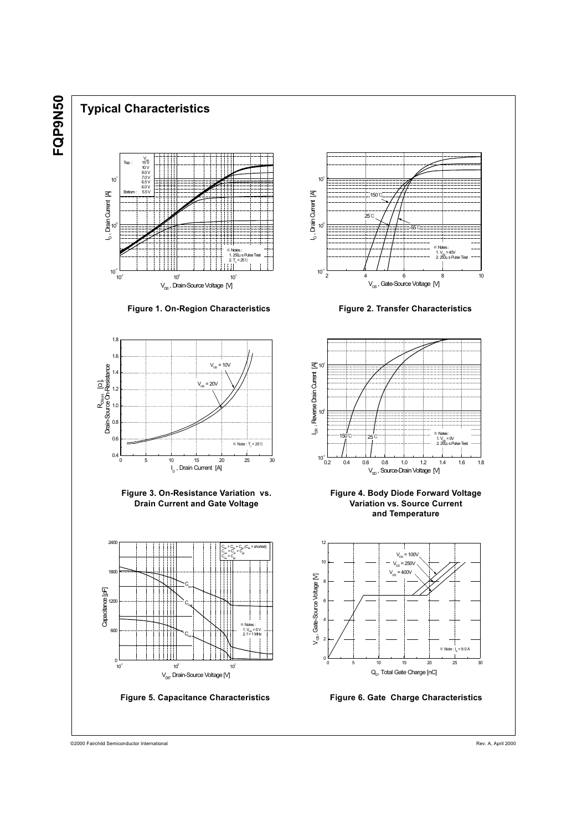FQP9N50

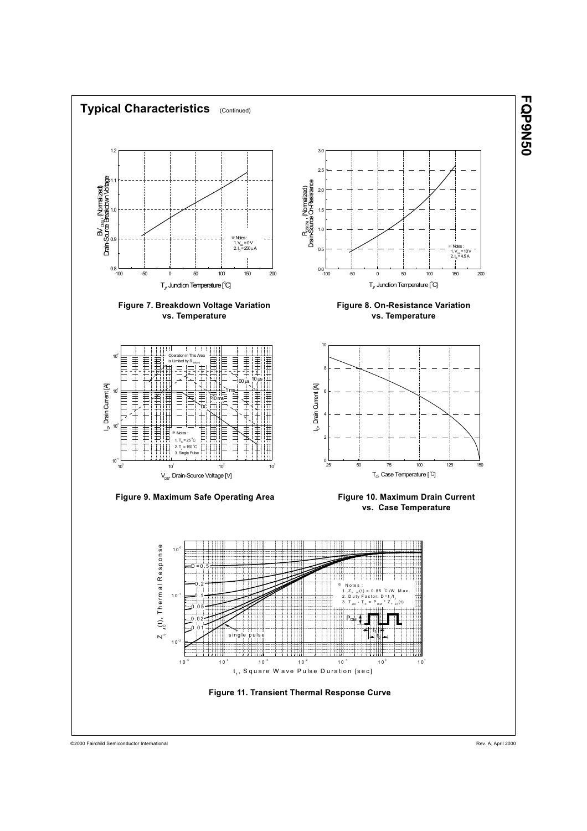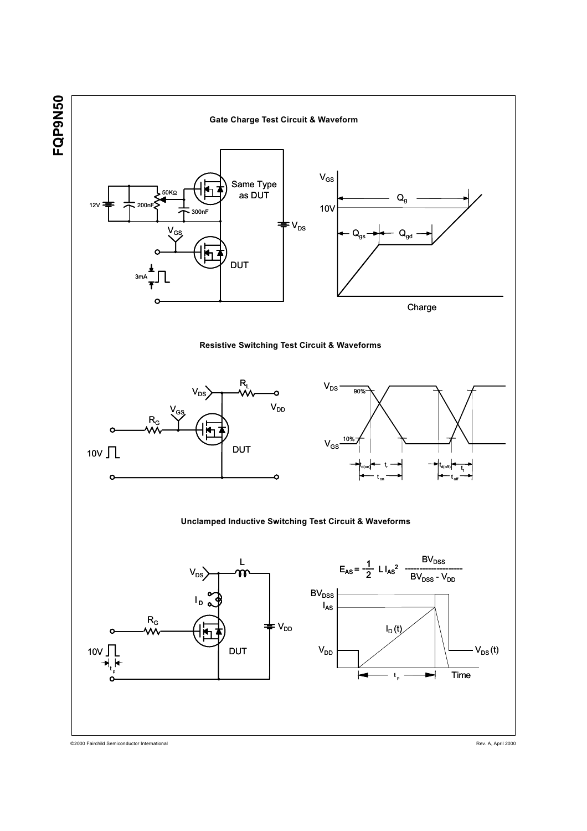

@2000 Fairchild Semiconductor International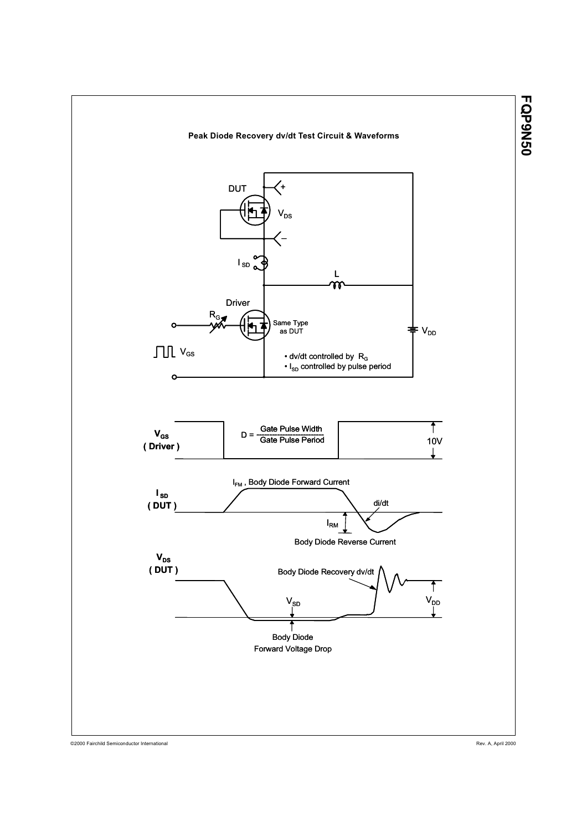

@2000 Fairchild Semiconductor International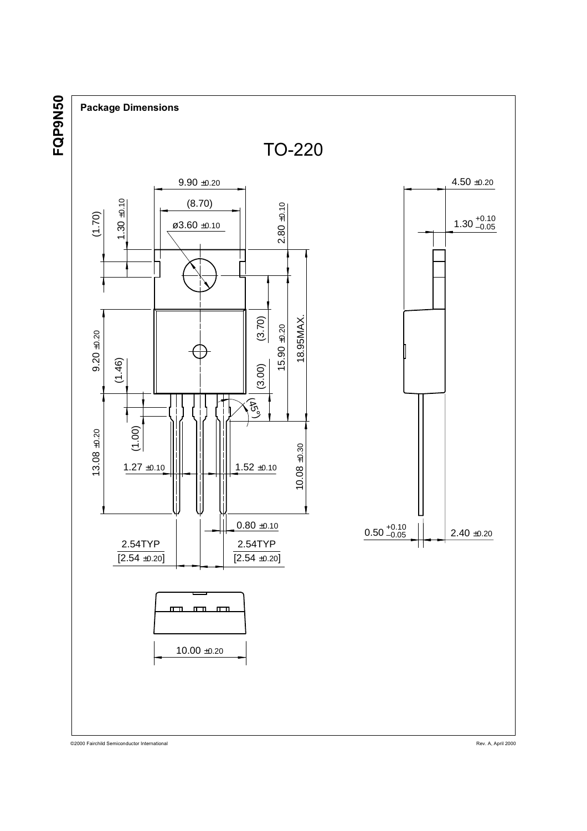<u>ପ</u><br>⊞ **DONSO** 



@2000 Fairchild Semiconductor International